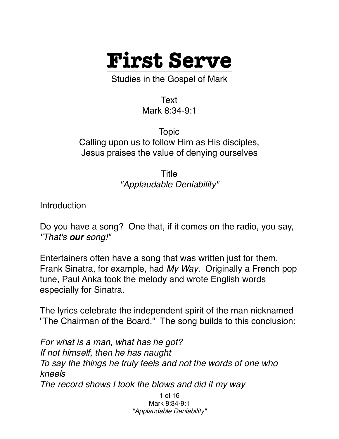

Studies in the Gospel of Mark

Text Mark 8:34-9:1

Topic Calling upon us to follow Him as His disciples, Jesus praises the value of denying ourselves

> Title *"Applaudable Deniability"*

**Introduction** 

Do you have a song? One that, if it comes on the radio, you say, *"That's our song!"*

Entertainers often have a song that was written just for them. Frank Sinatra, for example, had *My Way*. Originally a French pop tune, Paul Anka took the melody and wrote English words especially for Sinatra.

The lyrics celebrate the independent spirit of the man nicknamed "The Chairman of the Board." The song builds to this conclusion:

*For what is a man, what has he got? If not himself, then he has naught To say the things he truly feels and not the words of one who kneels The record shows I took the blows and did it my way* 1 of 16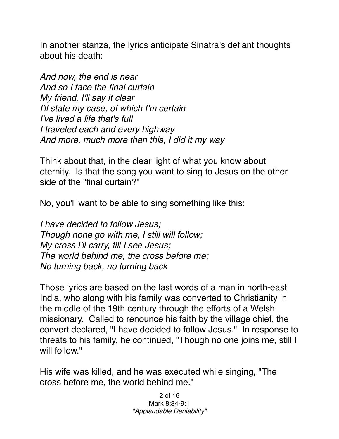In another stanza, the lyrics anticipate Sinatra's defiant thoughts about his death:

*And now, the end is near And so I face the final curtain My friend, I'll say it clear I'll state my case, of which I'm certain I've lived a life that's full I traveled each and every highway And more, much more than this, I did it my way*

Think about that, in the clear light of what you know about eternity. Is that the song you want to sing to Jesus on the other side of the "final curtain?"

No, you'll want to be able to sing something like this:

*I have decided to follow Jesus; Though none go with me, I still will follow; My cross I'll carry, till I see Jesus; The world behind me, the cross before me; No turning back, no turning back*

Those lyrics are based on the last words of a man in north-east India, who along with his family was converted to Christianity in the middle of the 19th century through the efforts of a Welsh missionary. Called to renounce his faith by the village chief, the convert declared, "I have decided to follow Jesus." In response to threats to his family, he continued, "Though no one joins me, still I will follow."

His wife was killed, and he was executed while singing, "The cross before me, the world behind me."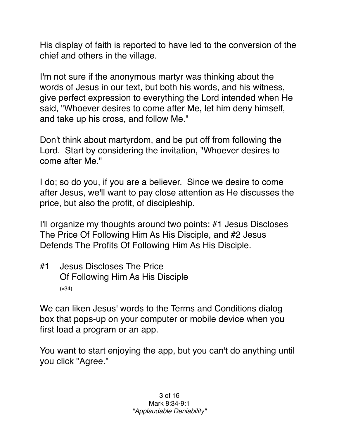His display of faith is reported to have led to the conversion of the chief and others in the village.

I'm not sure if the anonymous martyr was thinking about the words of Jesus in our text, but both his words, and his witness, give perfect expression to everything the Lord intended when He said, "Whoever desires to come after Me, let him deny himself, and take up his cross, and follow Me."

Don't think about martyrdom, and be put off from following the Lord. Start by considering the invitation, "Whoever desires to come after Me."

I do; so do you, if you are a believer. Since we desire to come after Jesus, we'll want to pay close attention as He discusses the price, but also the profit, of discipleship.

I'll organize my thoughts around two points: #1 Jesus Discloses The Price Of Following Him As His Disciple, and #2 Jesus Defends The Profits Of Following Him As His Disciple.

#1 Jesus Discloses The Price Of Following Him As His Disciple (v34)

We can liken Jesus' words to the Terms and Conditions dialog box that pops-up on your computer or mobile device when you first load a program or an app.

You want to start enjoying the app, but you can't do anything until you click "Agree."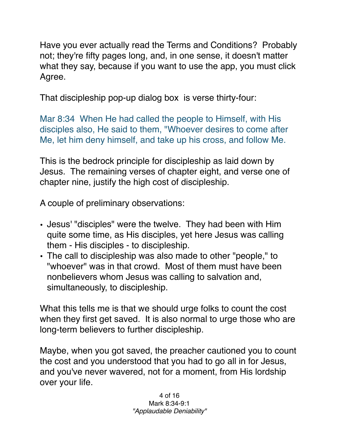Have you ever actually read the Terms and Conditions? Probably not; they're fifty pages long, and, in one sense, it doesn't matter what they say, because if you want to use the app, you must click Agree.

That discipleship pop-up dialog box is verse thirty-four:

Mar 8:34 When He had called the people to Himself, with His disciples also, He said to them, "Whoever desires to come after Me, let him deny himself, and take up his cross, and follow Me.

This is the bedrock principle for discipleship as laid down by Jesus. The remaining verses of chapter eight, and verse one of chapter nine, justify the high cost of discipleship.

A couple of preliminary observations:

- Jesus' "disciples" were the twelve. They had been with Him quite some time, as His disciples, yet here Jesus was calling them - His disciples - to discipleship.
- The call to discipleship was also made to other "people," to "whoever" was in that crowd. Most of them must have been nonbelievers whom Jesus was calling to salvation and, simultaneously, to discipleship.

What this tells me is that we should urge folks to count the cost when they first get saved. It is also normal to urge those who are long-term believers to further discipleship.

Maybe, when you got saved, the preacher cautioned you to count the cost and you understood that you had to go all in for Jesus, and you've never wavered, not for a moment, from His lordship over your life.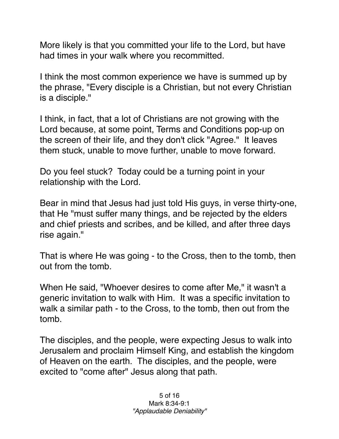More likely is that you committed your life to the Lord, but have had times in your walk where you recommitted.

I think the most common experience we have is summed up by the phrase, "Every disciple is a Christian, but not every Christian is a disciple."

I think, in fact, that a lot of Christians are not growing with the Lord because, at some point, Terms and Conditions pop-up on the screen of their life, and they don't click "Agree." It leaves them stuck, unable to move further, unable to move forward.

Do you feel stuck? Today could be a turning point in your relationship with the Lord.

Bear in mind that Jesus had just told His guys, in verse thirty-one, that He "must suffer many things, and be rejected by the elders and chief priests and scribes, and be killed, and after three days rise again."

That is where He was going - to the Cross, then to the tomb, then out from the tomb.

When He said, "Whoever desires to come after Me," it wasn't a generic invitation to walk with Him. It was a specific invitation to walk a similar path - to the Cross, to the tomb, then out from the tomb.

The disciples, and the people, were expecting Jesus to walk into Jerusalem and proclaim Himself King, and establish the kingdom of Heaven on the earth. The disciples, and the people, were excited to "come after" Jesus along that path.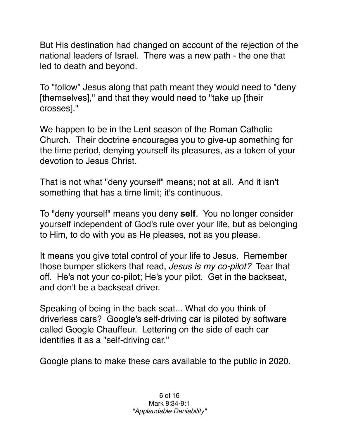But His destination had changed on account of the rejection of the national leaders of Israel. There was a new path - the one that led to death and beyond.

To "follow" Jesus along that path meant they would need to "deny [themselves]," and that they would need to "take up [their crosses]."

We happen to be in the Lent season of the Roman Catholic Church. Their doctrine encourages you to give-up something for the time period, denying yourself its pleasures, as a token of your devotion to Jesus Christ.

That is not what "deny yourself" means; not at all. And it isn't something that has a time limit; it's continuous.

To "deny yourself" means you deny **self**. You no longer consider yourself independent of God's rule over your life, but as belonging to Him, to do with you as He pleases, not as you please.

It means you give total control of your life to Jesus. Remember those bumper stickers that read, *Jesus is my co-pilot?* Tear that off. He's not your co-pilot; He's your pilot. Get in the backseat, and don't be a backseat driver.

Speaking of being in the back seat... What do you think of driverless cars? Google's self-driving car is piloted by software called Google Chauffeur. Lettering on the side of each car identifies it as a "self-driving car."

Google plans to make these cars available to the public in 2020.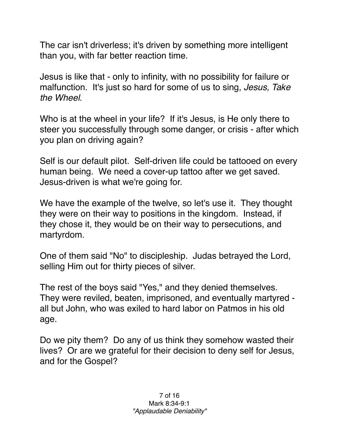The car isn't driverless; it's driven by something more intelligent than you, with far better reaction time.

Jesus is like that - only to infinity, with no possibility for failure or malfunction. It's just so hard for some of us to sing, *Jesus, Take the Wheel.*

Who is at the wheel in your life? If it's Jesus, is He only there to steer you successfully through some danger, or crisis - after which you plan on driving again?

Self is our default pilot. Self-driven life could be tattooed on every human being. We need a cover-up tattoo after we get saved. Jesus-driven is what we're going for.

We have the example of the twelve, so let's use it. They thought they were on their way to positions in the kingdom. Instead, if they chose it, they would be on their way to persecutions, and martyrdom.

One of them said "No" to discipleship. Judas betrayed the Lord, selling Him out for thirty pieces of silver.

The rest of the boys said "Yes," and they denied themselves. They were reviled, beaten, imprisoned, and eventually martyred all but John, who was exiled to hard labor on Patmos in his old age.

Do we pity them? Do any of us think they somehow wasted their lives? Or are we grateful for their decision to deny self for Jesus, and for the Gospel?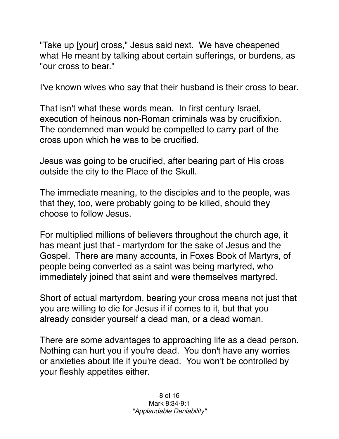"Take up [your] cross," Jesus said next. We have cheapened what He meant by talking about certain sufferings, or burdens, as "our cross to bear."

I've known wives who say that their husband is their cross to bear.

That isn't what these words mean. In first century Israel, execution of heinous non-Roman criminals was by crucifixion. The condemned man would be compelled to carry part of the cross upon which he was to be crucified.

Jesus was going to be crucified, after bearing part of His cross outside the city to the Place of the Skull.

The immediate meaning, to the disciples and to the people, was that they, too, were probably going to be killed, should they choose to follow Jesus.

For multiplied millions of believers throughout the church age, it has meant just that - martyrdom for the sake of Jesus and the Gospel. There are many accounts, in Foxes Book of Martyrs, of people being converted as a saint was being martyred, who immediately joined that saint and were themselves martyred.

Short of actual martyrdom, bearing your cross means not just that you are willing to die for Jesus if if comes to it, but that you already consider yourself a dead man, or a dead woman.

There are some advantages to approaching life as a dead person. Nothing can hurt you if you're dead. You don't have any worries or anxieties about life if you're dead. You won't be controlled by your fleshly appetites either.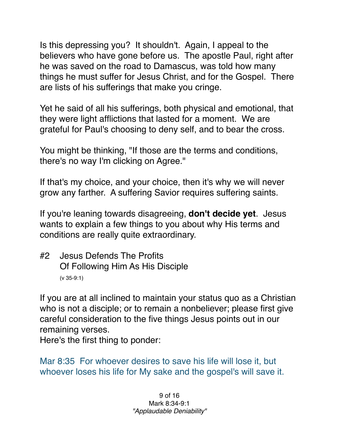Is this depressing you? It shouldn't. Again, I appeal to the believers who have gone before us. The apostle Paul, right after he was saved on the road to Damascus, was told how many things he must suffer for Jesus Christ, and for the Gospel. There are lists of his sufferings that make you cringe.

Yet he said of all his sufferings, both physical and emotional, that they were light afflictions that lasted for a moment. We are grateful for Paul's choosing to deny self, and to bear the cross.

You might be thinking, "If those are the terms and conditions, there's no way I'm clicking on Agree."

If that's my choice, and your choice, then it's why we will never grow any farther. A suffering Savior requires suffering saints.

If you're leaning towards disagreeing, **don't decide yet**. Jesus wants to explain a few things to you about why His terms and conditions are really quite extraordinary.

#2 Jesus Defends The Profits Of Following Him As His Disciple (v 35-9:1)

If you are at all inclined to maintain your status quo as a Christian who is not a disciple; or to remain a nonbeliever; please first give careful consideration to the five things Jesus points out in our remaining verses.

Here's the first thing to ponder:

Mar 8:35 For whoever desires to save his life will lose it, but whoever loses his life for My sake and the gospel's will save it.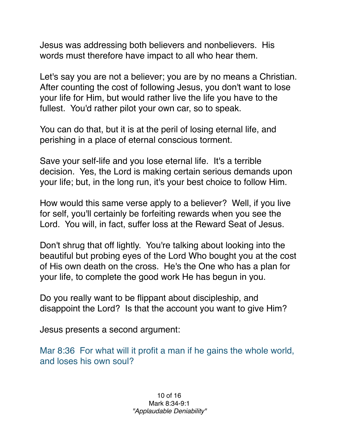Jesus was addressing both believers and nonbelievers. His words must therefore have impact to all who hear them.

Let's say you are not a believer; you are by no means a Christian. After counting the cost of following Jesus, you don't want to lose your life for Him, but would rather live the life you have to the fullest. You'd rather pilot your own car, so to speak.

You can do that, but it is at the peril of losing eternal life, and perishing in a place of eternal conscious torment.

Save your self-life and you lose eternal life. It's a terrible decision. Yes, the Lord is making certain serious demands upon your life; but, in the long run, it's your best choice to follow Him.

How would this same verse apply to a believer? Well, if you live for self, you'll certainly be forfeiting rewards when you see the Lord. You will, in fact, suffer loss at the Reward Seat of Jesus.

Don't shrug that off lightly. You're talking about looking into the beautiful but probing eyes of the Lord Who bought you at the cost of His own death on the cross. He's the One who has a plan for your life, to complete the good work He has begun in you.

Do you really want to be flippant about discipleship, and disappoint the Lord? Is that the account you want to give Him?

Jesus presents a second argument:

Mar 8:36 For what will it profit a man if he gains the whole world, and loses his own soul?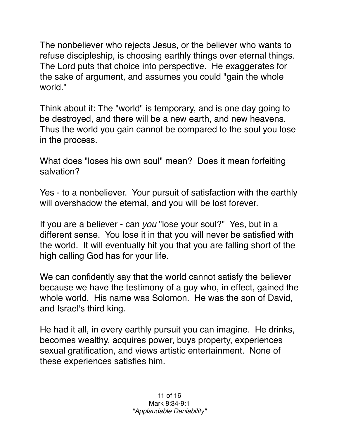The nonbeliever who rejects Jesus, or the believer who wants to refuse discipleship, is choosing earthly things over eternal things. The Lord puts that choice into perspective. He exaggerates for the sake of argument, and assumes you could "gain the whole world."

Think about it: The "world" is temporary, and is one day going to be destroyed, and there will be a new earth, and new heavens. Thus the world you gain cannot be compared to the soul you lose in the process.

What does "loses his own soul" mean? Does it mean forfeiting salvation?

Yes - to a nonbeliever. Your pursuit of satisfaction with the earthly will overshadow the eternal, and you will be lost forever.

If you are a believer - can *you* "lose your soul?" Yes, but in a different sense. You lose it in that you will never be satisfied with the world. It will eventually hit you that you are falling short of the high calling God has for your life.

We can confidently say that the world cannot satisfy the believer because we have the testimony of a guy who, in effect, gained the whole world. His name was Solomon. He was the son of David, and Israel's third king.

He had it all, in every earthly pursuit you can imagine. He drinks, becomes wealthy, acquires power, buys property, experiences sexual gratification, and views artistic entertainment. None of these experiences satisfies him.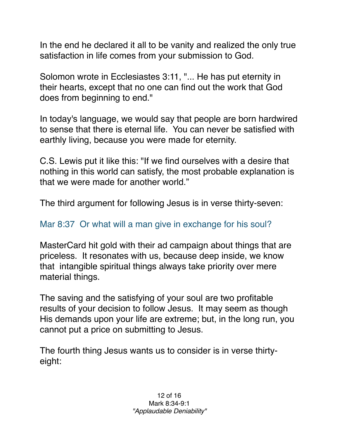In the end he declared it all to be vanity and realized the only true satisfaction in life comes from your submission to God.

Solomon wrote in Ecclesiastes 3:11, "... He has put eternity in their hearts, except that no one can find out the work that God does from beginning to end."

In today's language, we would say that people are born hardwired to sense that there is eternal life. You can never be satisfied with earthly living, because you were made for eternity.

C.S. Lewis put it like this: "If we find ourselves with a desire that nothing in this world can satisfy, the most probable explanation is that we were made for another world."

The third argument for following Jesus is in verse thirty-seven:

## Mar 8:37 Or what will a man give in exchange for his soul?

MasterCard hit gold with their ad campaign about things that are priceless. It resonates with us, because deep inside, we know that intangible spiritual things always take priority over mere material things.

The saving and the satisfying of your soul are two profitable results of your decision to follow Jesus. It may seem as though His demands upon your life are extreme; but, in the long run, you cannot put a price on submitting to Jesus.

The fourth thing Jesus wants us to consider is in verse thirtyeight: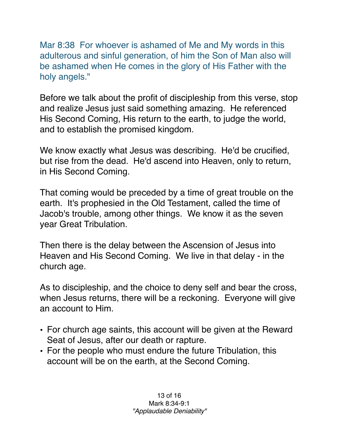Mar 8:38 For whoever is ashamed of Me and My words in this adulterous and sinful generation, of him the Son of Man also will be ashamed when He comes in the glory of His Father with the holy angels."

Before we talk about the profit of discipleship from this verse, stop and realize Jesus just said something amazing. He referenced His Second Coming, His return to the earth, to judge the world, and to establish the promised kingdom.

We know exactly what Jesus was describing. He'd be crucified, but rise from the dead. He'd ascend into Heaven, only to return, in His Second Coming.

That coming would be preceded by a time of great trouble on the earth. It's prophesied in the Old Testament, called the time of Jacob's trouble, among other things. We know it as the seven year Great Tribulation.

Then there is the delay between the Ascension of Jesus into Heaven and His Second Coming. We live in that delay - in the church age.

As to discipleship, and the choice to deny self and bear the cross, when Jesus returns, there will be a reckoning. Everyone will give an account to Him.

- For church age saints, this account will be given at the Reward Seat of Jesus, after our death or rapture.
- For the people who must endure the future Tribulation, this account will be on the earth, at the Second Coming.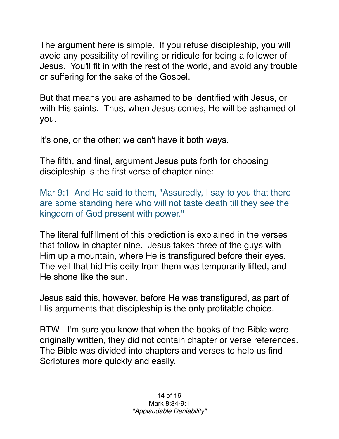The argument here is simple. If you refuse discipleship, you will avoid any possibility of reviling or ridicule for being a follower of Jesus. You'll fit in with the rest of the world, and avoid any trouble or suffering for the sake of the Gospel.

But that means you are ashamed to be identified with Jesus, or with His saints. Thus, when Jesus comes, He will be ashamed of you.

It's one, or the other; we can't have it both ways.

The fifth, and final, argument Jesus puts forth for choosing discipleship is the first verse of chapter nine:

Mar 9:1 And He said to them, "Assuredly, I say to you that there are some standing here who will not taste death till they see the kingdom of God present with power."

The literal fulfillment of this prediction is explained in the verses that follow in chapter nine. Jesus takes three of the guys with Him up a mountain, where He is transfigured before their eyes. The veil that hid His deity from them was temporarily lifted, and He shone like the sun.

Jesus said this, however, before He was transfigured, as part of His arguments that discipleship is the only profitable choice.

BTW - I'm sure you know that when the books of the Bible were originally written, they did not contain chapter or verse references. The Bible was divided into chapters and verses to help us find Scriptures more quickly and easily.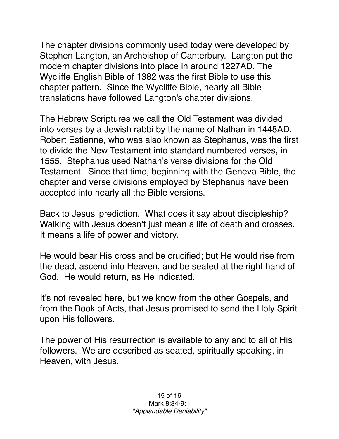The chapter divisions commonly used today were developed by Stephen Langton, an Archbishop of Canterbury. Langton put the modern chapter divisions into place in around 1227AD. The Wycliffe English Bible of 1382 was the first Bible to use this chapter pattern. Since the Wycliffe Bible, nearly all Bible translations have followed Langton's chapter divisions.

The Hebrew Scriptures we call the Old Testament was divided into verses by a Jewish rabbi by the name of Nathan in 1448AD. Robert Estienne, who was also known as Stephanus, was the first to divide the New Testament into standard numbered verses, in 1555. Stephanus used Nathan's verse divisions for the Old Testament. Since that time, beginning with the Geneva Bible, the chapter and verse divisions employed by Stephanus have been accepted into nearly all the Bible versions.

Back to Jesus' prediction. What does it say about discipleship? Walking with Jesus doesn't just mean a life of death and crosses. It means a life of power and victory.

He would bear His cross and be crucified; but He would rise from the dead, ascend into Heaven, and be seated at the right hand of God. He would return, as He indicated.

It's not revealed here, but we know from the other Gospels, and from the Book of Acts, that Jesus promised to send the Holy Spirit upon His followers.

The power of His resurrection is available to any and to all of His followers. We are described as seated, spiritually speaking, in Heaven, with Jesus.